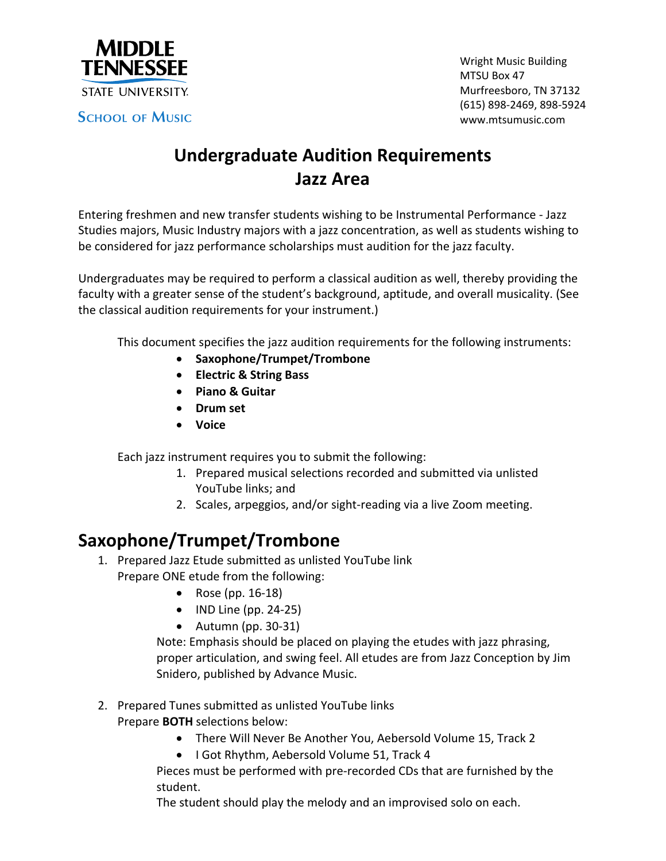

**SCHOOL OF MUSIC** 

Wright Music Building MTSU Box 47 Murfreesboro, TN 37132 (615) 898‐2469, 898‐5924 www.mtsumusic.com

# **Undergraduate Audition Requirements Jazz Area**

Entering freshmen and new transfer students wishing to be Instrumental Performance ‐ Jazz Studies majors, Music Industry majors with a jazz concentration, as well as students wishing to be considered for jazz performance scholarships must audition for the jazz faculty.

Undergraduates may be required to perform a classical audition as well, thereby providing the faculty with a greater sense of the student's background, aptitude, and overall musicality. (See the classical audition requirements for your instrument.)

This document specifies the jazz audition requirements for the following instruments:

- **Saxophone/Trumpet/Trombone**
- **Electric & String Bass**
- **Piano & Guitar**
- **Drum set**
- **Voice**

Each jazz instrument requires:

- 1. Prepared musical selections
- 2. Scales, arpeggios, and/or sight‐reading

### **Saxophone/Trumpet/Trombone**

1. Prepared Jazz Etude

Prepare ONE etude from the following:

- Rose (pp. 16-18)
- **IND Line (pp. 24-25)**
- Autumn (pp. 30‐31)

Note: Emphasis should be placed on playing the etudes with jazz phrasing, proper articulation, and swing feel. All etudes are from Jazz Conception by Jim Snidero, published by Advance Music.

2. Prepared Tunes:

Prepare **BOTH** selections below:

- There Will Never Be Another You, Aebersold Volume 15, Track 2
- I Got Rhythm, Aebersold Volume 51, Track 4

Pieces must be performed with pre‐recorded CDs that are furnished by the student.

The student should play the melody and an improvised solo on each.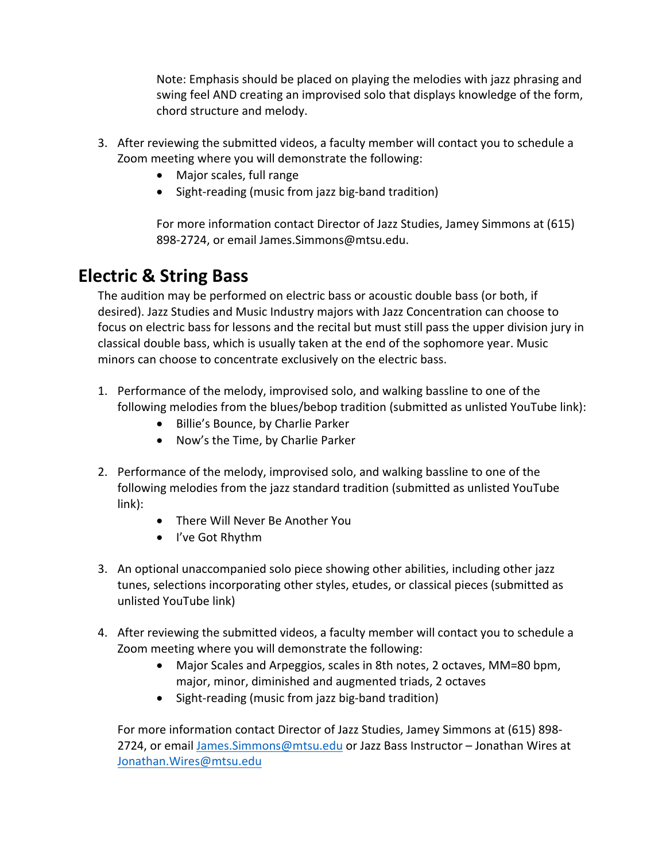Note: Emphasis should be placed on playing the melodies with jazz phrasing and swing feel AND creating an improvised solo that displays knowledge of the form, chord structure and melody.

- 3. Demonstrate the following:
	- Major scales, full range
	- Sight‐reading (music from jazz big‐band tradition)

For more information contact Director of Jazz Studies, Jamey Simmons at (615) 898‐2724, or email James.Simmons@mtsu.edu.

#### **Electric & String Bass**

The audition may be performed on electric bass or acoustic double bass (or both, if desired). Jazz Studies and Music Industry majors with Jazz Concentration can choose to focus on electric bass for lessons and the recital but must still pass the upper division jury in classical double bass, which is usually taken at the end of the sophomore year. Music minors can choose to concentrate exclusively on the electric bass.

- 1. Performance of the melody, improvised solo, and walking bassline to one of the following melodies from the blues/bebop tradition:
	- Billie's Bounce, by Charlie Parker
	- Now's the Time, by Charlie Parker
- 2. Performance of the melody, improvised solo, and walking bassline to one of the following melodies from the jazz standard tradition:
	- There Will Never Be Another You
	- I've Got Rhythm
- 3. An optional unaccompanied solo piece showing other abilities, including other jazz tunes, selections incorporating other styles, etudes, or classical pieces.
- 4. Demonstrate:
	- Major Scales and Arpeggios, scales in 8th notes, 2 octaves, MM=80 bpm, major, minor, diminished and augmented triads, 2 octaves
	- Sight‐reading (music from jazz big‐band tradition)

For more information contact Director of Jazz Studies, Jamey Simmons at (615) 898‐ 2724, or email James.Simmons@mtsu.edu or Jazz Bass Instructor – Jonathan Wires at Jonathan.Wires@mtsu.edu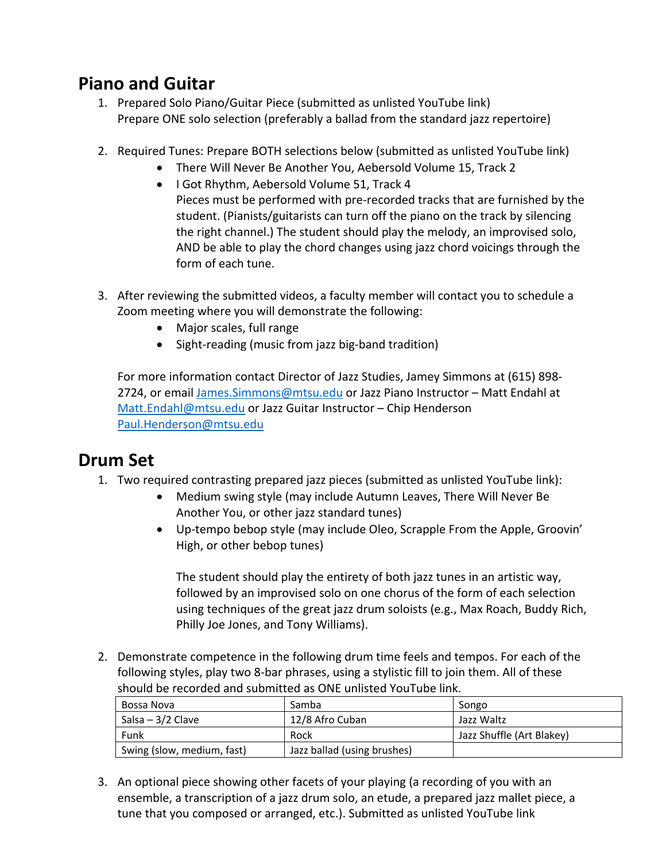## **Piano and Guitar**

- 1. Prepared Solo Piano/Guitar Piece Prepare ONE solo selection (preferably a ballad from the standard jazz repertoire)
- 2. Required Tunes: Prepare BOTH selections below:
	- There Will Never Be Another You, Aebersold Volume 15, Track 2
	- I Got Rhythm, Aebersold Volume 51, Track 4 Pieces must be performed with pre‐recorded tracks that are furnished by the student. (Pianists/guitarists can turn off the piano on the track by silencing the right channel.) The student should play the melody, an improvised solo, AND be able to play the chord changes using jazz chord voicings through the form of each tune.
- 3. Demonstrate the following:
	- Major scales, full range
	- Sight‐reading (music from jazz big‐band tradition)

For more information contact Director of Jazz Studies, Jamey Simmons at (615) 898‐ 2724, or email James.Simmons@mtsu.edu or Jazz Piano Instructor – Matt Endahl at Matt.Endahl@mtsu.edu or Jazz Guitar Instructor – Chip Henderson Paul.Henderson@mtsu.edu

### **Drum Set**

- 1. Two required contrasting prepared jazz pieces:
	- Medium swing style (may include Autumn Leaves, There Will Never Be Another You, or other jazz standard tunes)
	- Up-tempo bebop style (may include Oleo, Scrapple From the Apple, Groovin' High, or other bebop tunes)

The student should play the entirety of both jazz tunes in an artistic way, follo wed by an improvised solo on one chorus of the form of each selection using techniques of the great jazz drum soloists (e.g., Max Roach, Buddy Rich, Philly Joe Jones, and Tony Williams).

2. Demonstrate competence in the following drum time feels and tempos. For each of the following styles, play two 8‐bar phrases, using a stylistic fill to join them.

| Bossa Nova                 | Samba                       | Songo                     |
|----------------------------|-----------------------------|---------------------------|
| Salsa – $3/2$ Clave        | 12/8 Afro Cuban             | Jazz Waltz                |
| Funk                       | Rock                        | Jazz Shuffle (Art Blakey) |
| Swing (slow, medium, fast) | Jazz ballad (using brushes) |                           |

3. An optional piece showing other facets of your playing (a recording of you with an ensemble, a transcription of a jazz drum solo, an etude, a prepared jazz mallet piece, a tune that you composed or arranged, etc.).